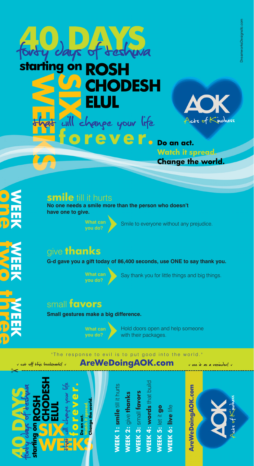

ever. Do an act. **Watch it spread Change the world** 

#### **smile** till it hurts

**one**

**two WEEK**

**NEEK**<br>**three** 

**WEEK**

**No one needs a smile more than the person who doesn't have one to give.**

vanpe your life

**What can** Smile to everyone without any prejudice.

# give **thanks**

**G-d gave you a gift today of 86,400 seconds, use ONE to say thank you.**

DESH



**What can** Say thank you for little things and big things.<br>**you do?** 

### small **favors**

**Small gestures make a big difference.**



Hold doors open and help someone with their packages.

#### "The response to evil is to put good into the world."

**AreWeDoingAOK.com**



v cut off this bookmark! v

**WEEK 4: words** that build **smile** till it hurts **/EEK 4: words that building /EEK 1: smile till it hur IEEK 3: small fovors WEEK 3:** small **favors TEK 2: give thanks WEEK 2:** give **thanks** VEEK 5: let it go **WEEK 5:** let it **go WEEK 6: live** life **WEEK 6: live life WEEK 1:** 



v use it as a veninder! v